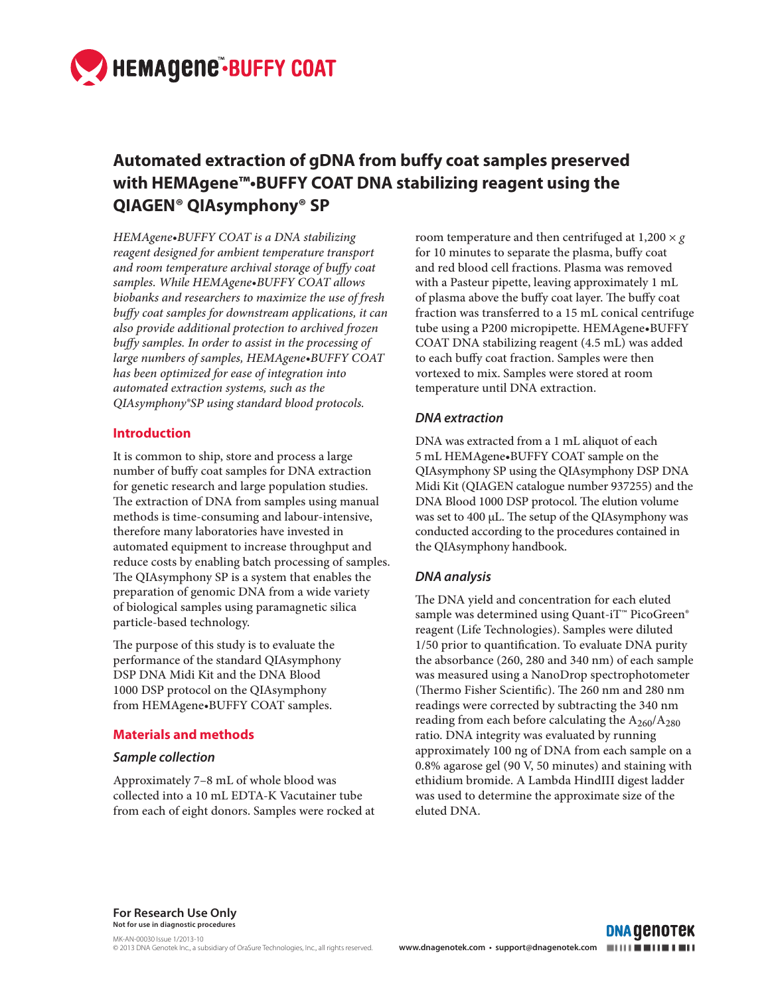

# **Automated extraction of gDNA from buffy coat samples preserved with HEMAgene™•BUFFY COAT DNA stabilizing reagent using the QIAGEN® QIAsymphony® SP**

*HEMAgene•BUFFY COAT is a DNA stabilizing reagent designed for ambient temperature transport*  and room temperature archival storage of buffy coat *samples. While HEMAgene•BUFFY COAT allows biobanks and researchers to maximize the use of fresh buffy coat samples for downstream applications, it can also provide additional protection to archived frozen*  buffy samples. In order to assist in the processing of *large numbers of samples, HEMAgene•BUFFY COAT has been optimized for ease of integration into automated extraction systems, such as the QIAsymphony®SP using standard blood protocols.*

# **Introduction**

It is common to ship, store and process a large number of buffy coat samples for DNA extraction for genetic research and large population studies. The extraction of DNA from samples using manual methods is time-consuming and labour-intensive, therefore many laboratories have invested in automated equipment to increase throughput and reduce costs by enabling batch processing of samples. The QIAsymphony SP is a system that enables the preparation of genomic DNA from a wide variety of biological samples using paramagnetic silica particle-based technology.

The purpose of this study is to evaluate the performance of the standard QIAsymphony DSP DNA Midi Kit and the DNA Blood 1000 DSP protocol on the QIAsymphony from HEMAgene*•*BUFFY COAT samples.

# **Materials and methods**

#### *Sample collection*

Approximately 7–8 mL of whole blood was collected into a 10 mL EDTA-K Vacutainer tube from each of eight donors. Samples were rocked at room temperature and then centrifuged at  $1,200 \times g$ for 10 minutes to separate the plasma, buffy coat and red blood cell fractions. Plasma was removed with a Pasteur pipette, leaving approximately 1 mL of plasma above the buffy coat layer. The buffy coat fraction was transferred to a 15 mL conical centrifuge tube using a P200 micropipette. HEMAgene•BUFFY COAT DNA stabilizing reagent (4.5 mL) was added to each buffy coat fraction. Samples were then vortexed to mix. Samples were stored at room temperature until DNA extraction.

# *DNA extraction*

DNA was extracted from a 1 mL aliquot of each 5 mL HEMAgene•BUFFY COAT sample on the QIAsymphony SP using the QIAsymphony DSP DNA Midi Kit (QIAGEN catalogue number 937255) and the DNA Blood 1000 DSP protocol. The elution volume was set to 400 µL. The setup of the QIAsymphony was conducted according to the procedures contained in the QIAsymphony handbook.

# *DNA analysis*

The DNA yield and concentration for each eluted sample was determined using Quant-iT™ PicoGreen® reagent (Life Technologies). Samples were diluted  $1/50$  prior to quantification. To evaluate DNA purity the absorbance (260, 280 and 340 nm) of each sample was measured using a NanoDrop spectrophotometer (Thermo Fisher Scientific). The 260 nm and 280 nm readings were corrected by subtracting the 340 nm reading from each before calculating the  $A_{260}/A_{280}$ ratio. DNA integrity was evaluated by running approximately 100 ng of DNA from each sample on a 0.8% agarose gel (90 V, 50 minutes) and staining with ethidium bromide. A Lambda HindIII digest ladder was used to determine the approximate size of the eluted DNA.

**For Research Use Only Not for use in diagnostic procedures**